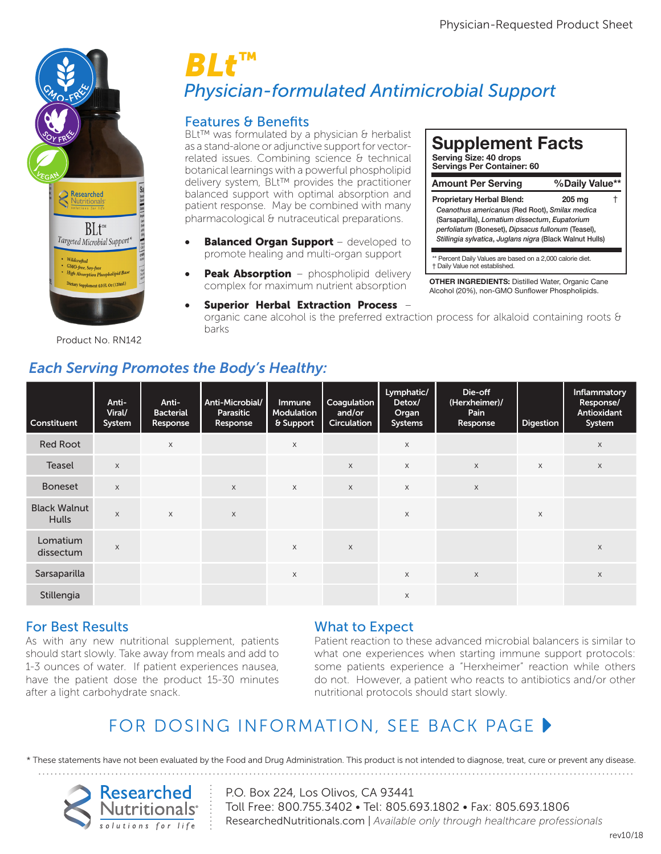**Serving Size: 40 drops Servings Per Container: 60**

† Daily Value not established.

**Supplement Facts**

**Amount Per Serving %Daily Value\*\***

*Ceanothus americanus* (Red Root), *Smilax medica* (Sarsaparilla), *Lomatium dissectum*, *Eupatorium perfoliatum* (Boneset), *Dipsacus fullonum* (Teasel), *Stillingia sylvatica*, *Juglans nigra* (Black Walnut Hulls)

**OTHER INGREDIENTS:** Distilled Water, Organic Cane Alcohol (20%), non-GMO Sunflower Phospholipids.

\*\* Percent Daily Values are based on a 2,000 calorie diet.

**Proprietary Herbal Blend: 205 mg** †



Product No. RN142

# **Physician-formulated Antimicrobial Support** *BLt™*

## Features & Benefits

BLt™ was formulated by a physician & herbalist as a stand-alone or adjunctive support for vectorrelated issues. Combining science & technical<br>botanical learnings with a powerful phospholipid related issues. Combining science of technical<br>botanical learnings with a powerful phospholipid<br>delivery system. BLt™ provides the practitioner delivery system, BLt™ provides the practitioner balanced support with optimal absorption and patient response. May be combined with many pharmacological & nutraceutical preparations.<br>

- **Balanced Organ Support** developed to promote healing and multi-organ support promote healing and multi-organ support
- **Peak Absorption** phospholipid delivery complex for maximum nutrient absorption
	- Superior Herbal Extraction Process organic cane alcohol is the preferred extraction process for alkaloid containing roots  $\theta$ barks

| Constituent                         | Anti-<br>Viral/<br>System | Anti-<br><b>Bacterial</b><br>Response | Anti-Microbial/<br>Parasitic<br>Response | Immune<br>Modulation<br>& Support | Coagulation<br>and/or<br><b>Circulation</b> | Lymphatic/<br>Detox/<br>Organ<br><b>Systems</b> | Die-off<br>(Herxheimer)/<br>Pain<br>Response | <b>Digestion</b> | Inflammatory<br>Response/<br><b>Antioxidant</b><br>System |
|-------------------------------------|---------------------------|---------------------------------------|------------------------------------------|-----------------------------------|---------------------------------------------|-------------------------------------------------|----------------------------------------------|------------------|-----------------------------------------------------------|
| <b>Red Root</b>                     |                           | X                                     |                                          | X                                 |                                             | $\mathsf X$                                     |                                              |                  | X                                                         |
| <b>Teasel</b>                       | $\mathsf{X}$              |                                       |                                          |                                   | $\times$                                    | $\mathsf{X}$                                    | $\times$                                     | $\times$         | $\mathsf X$                                               |
| <b>Boneset</b>                      | $\mathsf X$               |                                       | $\mathsf{X}$                             | X                                 | $\times$                                    | $\times$                                        | $\mathsf X$                                  |                  |                                                           |
| <b>Black Walnut</b><br><b>Hulls</b> | X                         | $\mathsf{X}$                          | $\mathsf X$                              |                                   |                                             | X                                               |                                              | X                |                                                           |
| Lomatium<br>dissectum               | $\mathsf X$               |                                       |                                          | $\mathsf X$                       | $\times$                                    |                                                 |                                              |                  | X                                                         |
| Sarsaparilla                        |                           |                                       |                                          | X                                 |                                             | $\times$                                        | $\mathsf X$                                  |                  | X                                                         |
| Stillengia                          |                           |                                       |                                          |                                   |                                             | X                                               |                                              |                  |                                                           |

## *Each Serving Promotes the Body's Healthy:*

### For Best Results

As with any new nutritional supplement, patients should start slowly. Take away from meals and add to 1-3 ounces of water. If patient experiences nausea, have the patient dose the product 15-30 minutes after a light carbohydrate snack.

### What to Expect

Patient reaction to these advanced microbial balancers is similar to what one experiences when starting immune support protocols: some patients experience a "Herxheimer" reaction while others do not. However, a patient who reacts to antibiotics and/or other nutritional protocols should start slowly.

## FOR DOSING INFORMATION, SEE BACK PAGE  $\blacktriangleright$

\* These statements have not been evaluated by the Food and Drug Administration. This product is not intended to diagnose, treat, cure or prevent any disease.



P.O. Box 224, Los Olivos, CA 93441 Toll Free: 800.755.3402 • Tel: 805.693.1802 • Fax: 805.693.1806 ResearchedNutritionals.com | *Available only through healthcare professionals*